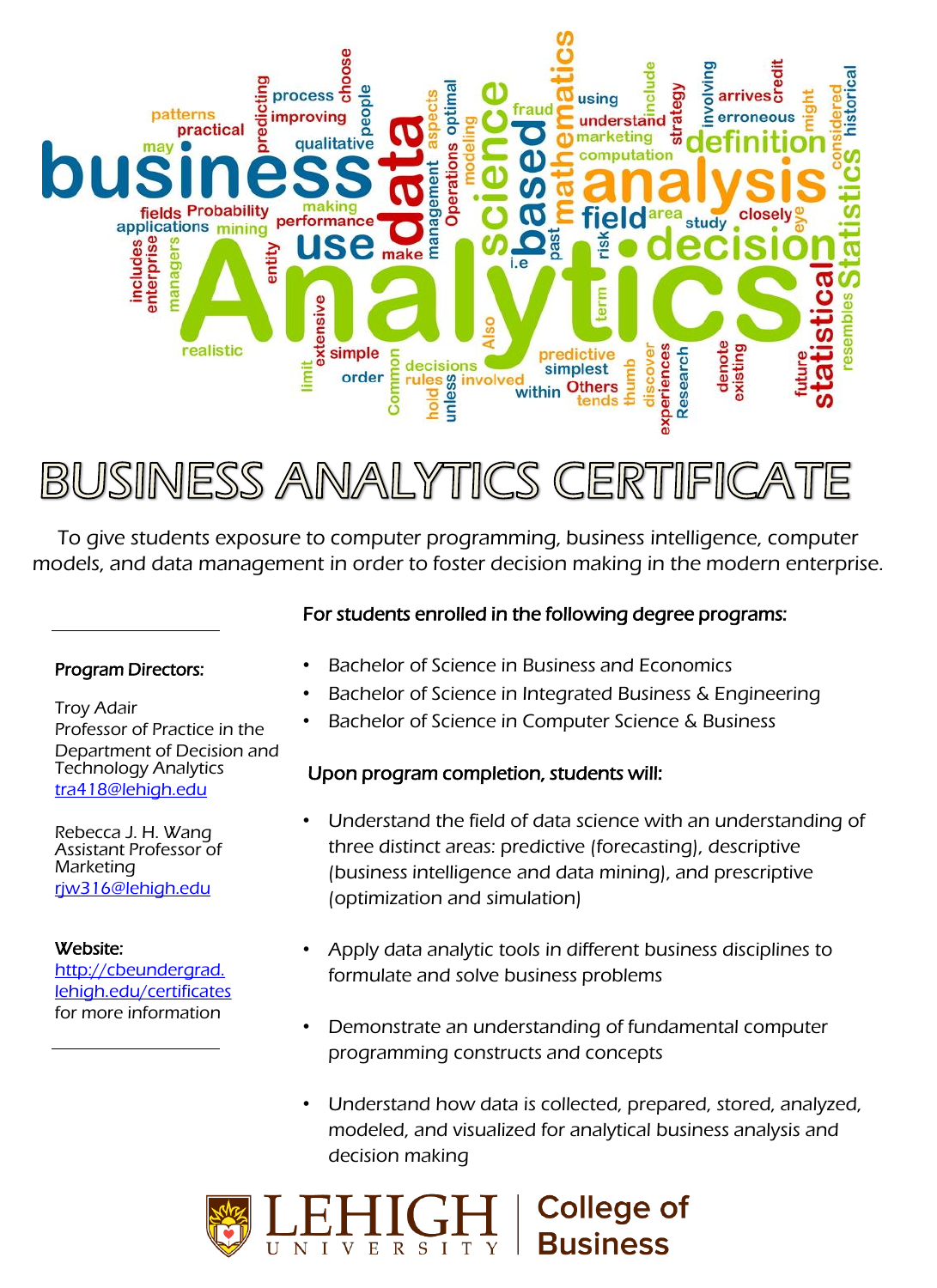

BUSINESS ANALYTICS CERTIFICAT

To give students exposure to computer programming, business intelligence, computer models, and data management in order to foster decision making in the modern enterprise.

#### Program Directors:

Troy Adair Professor of Practice in the Department of Decision and Technology Analytics [tra418@lehigh.edu](mailto:tra418@lehigh.edu)

Rebecca J. H. Wang Assistant Professor of **Marketing** [rjw316@lehigh.edu](mailto:rjw316@Lehigh.edu)

#### Website:

[http://cbeundergrad.](http://cbeundergrad.lehigh.edu/certificates) [lehigh.edu/certificates](http://cbeundergrad.lehigh.edu/certificates) for more information

### For students enrolled in the following degree programs:

- Bachelor of Science in Business and Economics
- Bachelor of Science in Integrated Business & Engineering
- Bachelor of Science in Computer Science & Business

### Upon program completion, students will:

- Understand the field of data science with an understanding of three distinct areas: predictive (forecasting), descriptive (business intelligence and data mining), and prescriptive (optimization and simulation)
- Apply data analytic tools in different business disciplines to formulate and solve business problems
- Demonstrate an understanding of fundamental computer programming constructs and concepts
- Understand how data is collected, prepared, stored, analyzed, modeled, and visualized for analytical business analysis and decision making